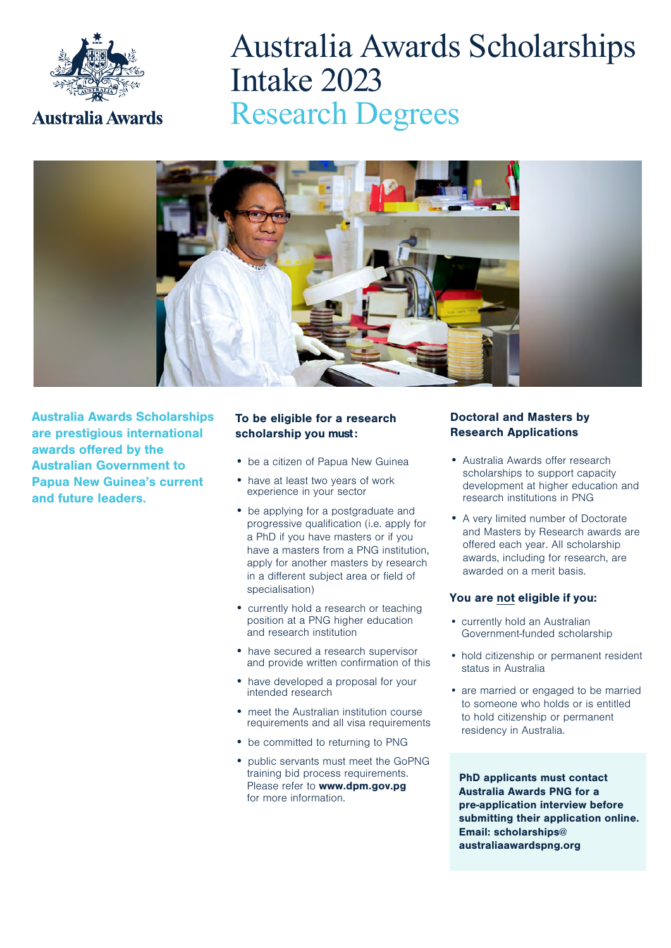

# Australia Awards Scholarships Intake 2023 Research Degrees



Australia Awards Scholarships are prestigious international awards offered by the Australian Government to Papua New Guinea's current and future leaders.

#### To be eligible for a research scholarship you must:

- be a citizen of Papua New Guinea
- have at least two years of work experience in your sector
- be applying for a postgraduate and progressive qualification (i.e. apply for a PhD if you have masters or if you have a masters from a PNG institution, apply for another masters by research in a different subject area or field of specialisation)
- currently hold a research or teaching position at a PNG higher education and research institution
- have secured a research supervisor and provide written confirmation of this
- have developed a proposal for your intended research
- meet the Australian institution course requirements and all visa requirements
- be committed to returning to PNG
- public servants must meet the GoPNG training bid process requirements. Please refer to **www.dpm.gov.pg** for more information.

#### Doctoral and Masters by Research Applications

- Australia Awards offer research scholarships to support capacity development at higher education and research institutions in PNG
- A very limited number of Doctorate and Masters by Research awards are offered each year. All scholarship awards, including for research, are awarded on a merit basis.

#### You are not eligible if you:

- currently hold an Australian Government-funded scholarship
- hold citizenship or permanent resident status in Australia
- are married or engaged to be married to someone who holds or is entitled to hold citizenship or permanent residency in Australia.

PhD applicants must contact Australia Awards PNG for a pre-application interview before submitting their application online. Email: scholarships@ australiaawardspng.org